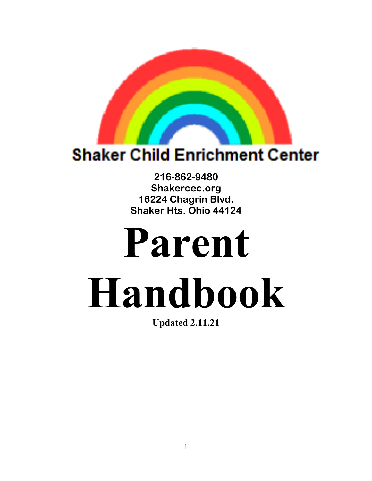

## **r Child Enrichmer**

**216-862-9480 Shakercec.org 16224 Chagrin Blvd. Shaker Hts. Ohio 44124**

# **Parent Handbook**

**Updated 2.11.21**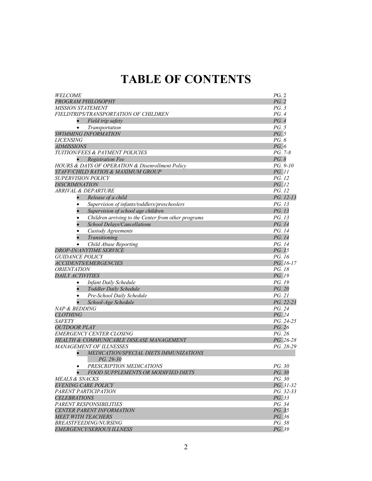### **TABLE OF CONTENTS**

| <i>WELCOME</i>                                                   | PG. 2         |
|------------------------------------------------------------------|---------------|
| PROGRAM PHILOSOPHY                                               | PG. 2         |
| <b>MISSION STATEMENT</b>                                         | PG.3          |
| FIELDTRIPS/TRANSPORTATION OF CHILDREN                            | PG.4          |
| Field trip safety<br>$\bullet$                                   | PG.4          |
| Transportation<br>$\bullet$                                      | PG. 5         |
| SWIMMING INFORMATION                                             | PG. 5         |
| <i>LICENSING</i>                                                 | PG. 6         |
| <i>ADMISSIONS</i>                                                | PG. 6         |
| <b>TUITION/FEES &amp; PAYMENT POLICIES</b>                       | PG. 7-8       |
| <b>Registration Fee</b>                                          | PG. 8         |
| HOURS & DAYS OF OPERATION & Disenrollment Policy                 | PG. 9-10      |
| STAFF/CHILD RATIOS & MAXIMUM GROUP                               | <i>PG.</i> 11 |
| <b>SUPERVISION POLICY</b>                                        | <i>PG.</i> 12 |
| <b>DISCRIMINATION</b>                                            | PG. 12        |
| ARRIVAL & DEPARTURE                                              | <i>PG.</i> 12 |
| Release of a child<br>$\bullet$                                  | PG. 12-13     |
| Supervision of infants/toddlers/preschoolers<br>٠                | PG. 13        |
| Supervision of school age children                               | PG. 13        |
| Children arriving to the Center from other programs<br>$\bullet$ | PG. 13        |
| School Delays/Cancellations                                      | PG. 14        |
| Custody Agreements<br>$\bullet$                                  | PG. 14        |
| Transitioning                                                    | PG. 14        |
| Child Abuse Reporting                                            | PG. 14        |
| <b>DROP-IN/ANYTIME SERVICE</b>                                   | PG. 15        |
| <b>GUIDANCE POLICY</b>                                           | PG. 16        |
| <b>ACCIDENTS/EMERGENCIES</b>                                     | PG. 16-17     |
| <i><b>ORIENTATION</b></i>                                        | PG. 18        |
| DAILY ACTIVITIES                                                 | PG. 19        |
| <b>Infant Daily Schedule</b><br>$\bullet$                        | PG. 19        |
| $\bullet$<br>Toddler Daily Schedule                              | PG. 20        |
| Pre-School Daily Schedule<br>$\bullet$                           | PG. 21        |
| School-Age Schedule                                              | PG. 22-23     |
| NAP & BEDDING                                                    | PG. 24        |
| <b>CLOTHING</b>                                                  | PG. 24        |
| <b>SAFETY</b>                                                    | PG. 24-25     |
| <b>OUTDOOR PLAY</b>                                              | PG. 26        |
| <b>EMERGENCY CENTER CLOSING</b>                                  | PG. 26        |
| HEALTH & COMMUNICABLE DISEASE MANAGEMENT                         | PG. 26-28     |
| <b>MANAGEMENT OF ILLNESSES</b>                                   | PG. 28-29     |
| MEDICATION/SPECIAL DIETS IMMUNIZATIONS                           |               |
| PG. 29-30                                                        |               |
| PRESCRIPTION MEDICATIONS<br>٠                                    | PG. 30        |
| <b>FOOD SUPPLEMENTS OR MODIFIED DIETS</b>                        | PG. 30        |
| <b>MEALS &amp; SNACKS</b>                                        | PG. 30        |
| <b>EVENING CARE POLICY</b>                                       | PG. 31-32     |
| PARENT PARTICIPATION                                             | PG. 32-33     |
| <b>CELEBRATIONS</b>                                              | PG. 33        |
| PARENT RESPONSIBILITIES                                          | PG. 34        |
| <b>CENTER PARENT INFORMATION</b>                                 | PG. 35        |
| <b>MEET WITH TEACHERS</b>                                        | PG. 36        |
| <b>BREASTFEEDING/NURSING</b>                                     | PG. 38        |
| <b>EMERGENCY/SERIOUS ILLNESS</b>                                 | PG. 39        |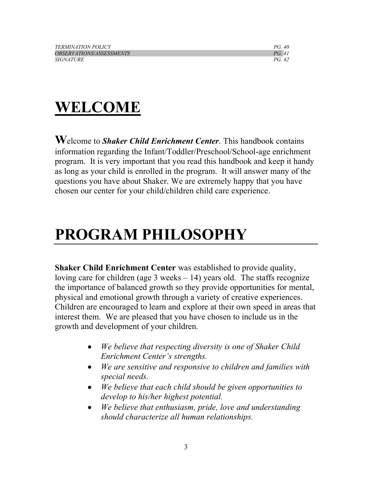| <b>TERMINATION POLICY</b>              | <i>PG 40</i> |
|----------------------------------------|--------------|
| <i><b>OBSERVATIONS/ASSESSMENTS</b></i> | PG. 41       |
| <i>SIGNATURE</i>                       | PG. 42       |

# **WELCOME**

**W**elcome to *Shaker Child Enrichment Center*. This handbook contains information regarding the Infant/Toddler/Preschool/School-age enrichment program. It is very important that you read this handbook and keep it handy as long as your child is enrolled in the program. It will answer many of the questions you have about Shaker. We are extremely happy that you have chosen our center for your child/children child care experience.

# **PROGRAM PHILOSOPHY**

**Shaker Child Enrichment Center** was established to provide quality, loving care for children (age 3 weeks  $-14$ ) years old. The staffs recognize the importance of balanced growth so they provide opportunities for mental, physical and emotional growth through a variety of creative experiences. Children are encouraged to learn and explore at their own speed in areas that interest them. We are pleased that you have chosen to include us in the growth and development of your children.

- *We believe that respecting diversity is one of Shaker Child Enrichment Center's strengths.*
- *We are sensitive and responsive to children and families with special needs.*
- *We believe that each child should be given opportunities to develop to his/her highest potential.*
- *We believe that enthusiasm, pride, love and understanding should characterize all human relationships.*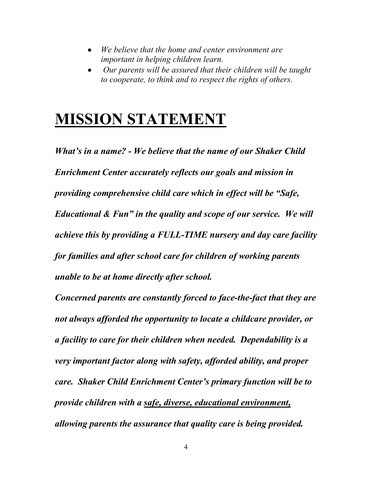- *We believe that the home and center environment are important in helping children learn.*
- *Our parents will be assured that their children will be taught to cooperate, to think and to respect the rights of others.*

# **MISSION STATEMENT**

*What's in a name? - We believe that the name of our Shaker Child Enrichment Center accurately reflects our goals and mission in providing comprehensive child care which in effect will be "Safe, Educational & Fun" in the quality and scope of our service. We will achieve this by providing a FULL-TIME nursery and day care facility for families and after school care for children of working parents unable to be at home directly after school.*

*Concerned parents are constantly forced to face-the-fact that they are not always afforded the opportunity to locate a childcare provider, or a facility to care for their children when needed. Dependability is a very important factor along with safety, afforded ability, and proper care. Shaker Child Enrichment Center's primary function will be to provide children with a safe, diverse, educational environment, allowing parents the assurance that quality care is being provided.*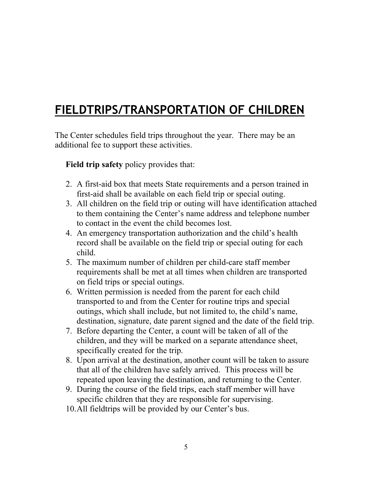### **FIELDTRIPS/TRANSPORTATION OF CHILDREN**

The Center schedules field trips throughout the year. There may be an additional fee to support these activities.

 **Field trip safety** policy provides that:

- 2. A first-aid box that meets State requirements and a person trained in first-aid shall be available on each field trip or special outing.
- 3. All children on the field trip or outing will have identification attached to them containing the Center's name address and telephone number to contact in the event the child becomes lost.
- 4. An emergency transportation authorization and the child's health record shall be available on the field trip or special outing for each child.
- 5. The maximum number of children per child-care staff member requirements shall be met at all times when children are transported on field trips or special outings.
- 6. Written permission is needed from the parent for each child transported to and from the Center for routine trips and special outings, which shall include, but not limited to, the child's name, destination, signature, date parent signed and the date of the field trip.
- 7. Before departing the Center, a count will be taken of all of the children, and they will be marked on a separate attendance sheet, specifically created for the trip.
- 8. Upon arrival at the destination, another count will be taken to assure that all of the children have safely arrived. This process will be repeated upon leaving the destination, and returning to the Center.
- 9. During the course of the field trips, each staff member will have specific children that they are responsible for supervising.
- 10.All fieldtrips will be provided by our Center's bus.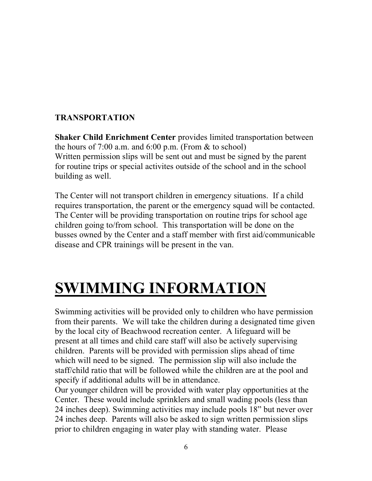#### **TRANSPORTATION**

**Shaker Child Enrichment Center** provides limited transportation between the hours of  $7:00$  a.m. and  $6:00$  p.m. (From  $\&$  to school) Written permission slips will be sent out and must be signed by the parent for routine trips or special activites outside of the school and in the school building as well.

The Center will not transport children in emergency situations. If a child requires transportation, the parent or the emergency squad will be contacted. The Center will be providing transportation on routine trips for school age children going to/from school. This transportation will be done on the busses owned by the Center and a staff member with first aid/communicable disease and CPR trainings will be present in the van.

# **SWIMMING INFORMATION**

Swimming activities will be provided only to children who have permission from their parents. We will take the children during a designated time given by the local city of Beachwood recreation center. A lifeguard will be present at all times and child care staff will also be actively supervising children. Parents will be provided with permission slips ahead of time which will need to be signed. The permission slip will also include the staff/child ratio that will be followed while the children are at the pool and specify if additional adults will be in attendance.

Our younger children will be provided with water play opportunities at the Center. These would include sprinklers and small wading pools (less than 24 inches deep). Swimming activities may include pools 18" but never over 24 inches deep. Parents will also be asked to sign written permission slips prior to children engaging in water play with standing water. Please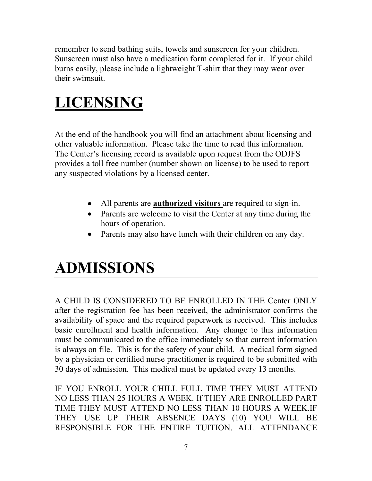remember to send bathing suits, towels and sunscreen for your children. Sunscreen must also have a medication form completed for it. If your child burns easily, please include a lightweight T-shirt that they may wear over their swimsuit.

# **LICENSING**

At the end of the handbook you will find an attachment about licensing and other valuable information. Please take the time to read this information. The Center's licensing record is available upon request from the ODJFS provides a toll free number (number shown on license) to be used to report any suspected violations by a licensed center.

- All parents are **authorized visitors** are required to sign-in.
- Parents are welcome to visit the Center at any time during the hours of operation.
- Parents may also have lunch with their children on any day.

# **ADMISSIONS**

A CHILD IS CONSIDERED TO BE ENROLLED IN THE Center ONLY after the registration fee has been received, the administrator confirms the availability of space and the required paperwork is received. This includes basic enrollment and health information. Any change to this information must be communicated to the office immediately so that current information is always on file. This is for the safety of your child. A medical form signed by a physician or certified nurse practitioner is required to be submitted with 30 days of admission. This medical must be updated every 13 months.

IF YOU ENROLL YOUR CHILL FULL TIME THEY MUST ATTEND NO LESS THAN 25 HOURS A WEEK. If THEY ARE ENROLLED PART TIME THEY MUST ATTEND NO LESS THAN 10 HOURS A WEEK.IF THEY USE UP THEIR ABSENCE DAYS (10) YOU WILL BE RESPONSIBLE FOR THE ENTIRE TUITION. ALL ATTENDANCE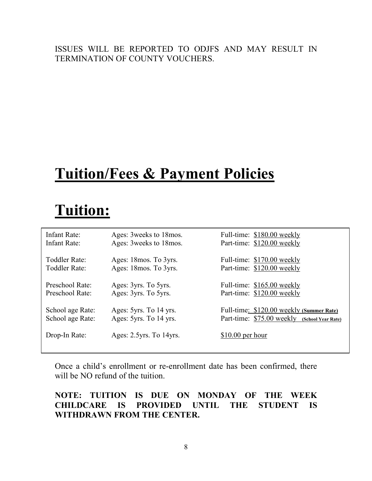#### ISSUES WILL BE REPORTED TO ODJFS AND MAY RESULT IN TERMINATION OF COUNTY VOUCHERS.

# **Tuition/Fees & Payment Policies**

# **Tuition:**

| Infant Rate:                         | Ages: 3 weeks to 18 mos.                         | Full-time: \$180.00 weekly                                                                  |
|--------------------------------------|--------------------------------------------------|---------------------------------------------------------------------------------------------|
| Infant Rate:                         | Ages: 3 weeks to 18 mos.                         | Part-time: \$120.00 weekly                                                                  |
| Toddler Rate:                        | Ages: 18 mos. To 3 yrs.                          | Full-time: \$170.00 weekly                                                                  |
| Toddler Rate:                        | Ages: 18 mos. To 3yrs.                           | Part-time: \$120.00 weekly                                                                  |
| Preschool Rate:                      | Ages: 3yrs. To 5yrs.                             | Full-time: \$165.00 weekly                                                                  |
| Preschool Rate:                      | Ages: 3yrs. To 5yrs.                             | Part-time: \$120.00 weekly                                                                  |
| School age Rate:<br>School age Rate: | Ages: 5yrs. To 14 yrs.<br>Ages: 5yrs. To 14 yrs. | Full-time: \$120.00 weekly (Summer Rate)<br>Part-time: \$75.00 weekly<br>(School Year Rate) |
| Drop-In Rate:                        | Ages: 2.5yrs. To 14yrs.                          | $$10.00$ per hour                                                                           |

Once a child's enrollment or re-enrollment date has been confirmed, there will be NO refund of the tuition.

#### **NOTE: TUITION IS DUE ON MONDAY OF THE WEEK CHILDCARE IS PROVIDED UNTIL THE STUDENT IS WITHDRAWN FROM THE CENTER.**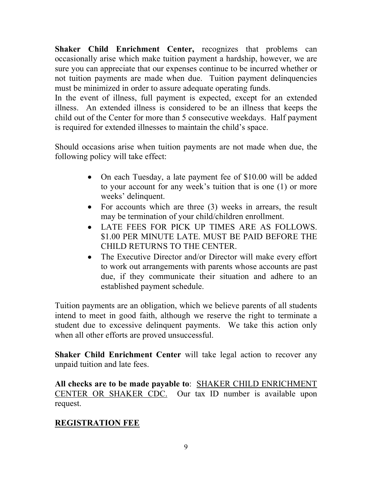**Shaker Child Enrichment Center,** recognizes that problems can occasionally arise which make tuition payment a hardship, however, we are sure you can appreciate that our expenses continue to be incurred whether or not tuition payments are made when due. Tuition payment delinquencies must be minimized in order to assure adequate operating funds.

In the event of illness, full payment is expected, except for an extended illness. An extended illness is considered to be an illness that keeps the child out of the Center for more than 5 consecutive weekdays. Half payment is required for extended illnesses to maintain the child's space.

Should occasions arise when tuition payments are not made when due, the following policy will take effect:

- On each Tuesday, a late payment fee of \$10.00 will be added to your account for any week's tuition that is one (1) or more weeks' delinquent.
- For accounts which are three (3) weeks in arrears, the result may be termination of your child/children enrollment.
- LATE FEES FOR PICK UP TIMES ARE AS FOLLOWS. \$1.00 PER MINUTE LATE. MUST BE PAID BEFORE THE CHILD RETURNS TO THE CENTER.
- The Executive Director and/or Director will make every effort to work out arrangements with parents whose accounts are past due, if they communicate their situation and adhere to an established payment schedule.

Tuition payments are an obligation, which we believe parents of all students intend to meet in good faith, although we reserve the right to terminate a student due to excessive delinquent payments. We take this action only when all other efforts are proved unsuccessful.

**Shaker Child Enrichment Center** will take legal action to recover any unpaid tuition and late fees.

**All checks are to be made payable to**: SHAKER CHILD ENRICHMENT CENTER OR SHAKER CDC. Our tax ID number is available upon request.

#### **REGISTRATION FEE**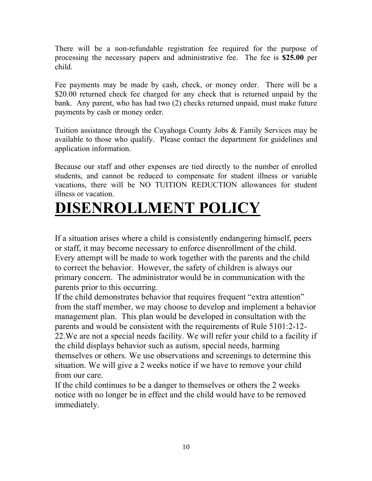There will be a non-refundable registration fee required for the purpose of processing the necessary papers and administrative fee. The fee is **\$25.00** per child.

Fee payments may be made by cash, check, or money order. There will be a \$20.00 returned check fee charged for any check that is returned unpaid by the bank. Any parent, who has had two (2) checks returned unpaid, must make future payments by cash or money order.

Tuition assistance through the Cuyahoga County Jobs & Family Services may be available to those who qualify. Please contact the department for guidelines and application information.

Because our staff and other expenses are tied directly to the number of enrolled students, and cannot be reduced to compensate for student illness or variable vacations, there will be NO TUITION REDUCTION allowances for student illness or vacation.

# **DISENROLLMENT POLICY**

If a situation arises where a child is consistently endangering himself, peers or staff, it may become necessary to enforce disenrollment of the child. Every attempt will be made to work together with the parents and the child to correct the behavior. However, the safety of children is always our primary concern. The administrator would be in communication with the parents prior to this occurring.

If the child demonstrates behavior that requires frequent "extra attention" from the staff member, we may choose to develop and implement a behavior management plan. This plan would be developed in consultation with the parents and would be consistent with the requirements of Rule 5101:2-12- 22.We are not a special needs facility. We will refer your child to a facility if the child displays behavior such as autism, special needs, harming themselves or others. We use observations and screenings to determine this situation. We will give a 2 weeks notice if we have to remove your child from our care.

If the child continues to be a danger to themselves or others the 2 weeks notice with no longer be in effect and the child would have to be removed immediately.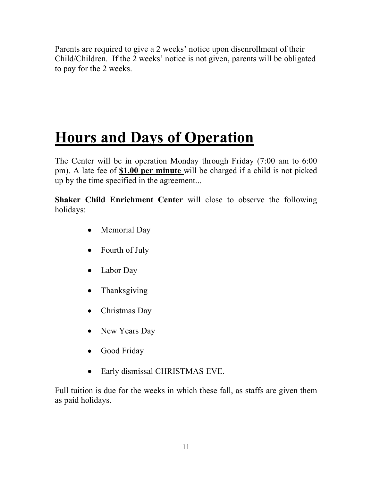Parents are required to give a 2 weeks' notice upon disenrollment of their Child/Children. If the 2 weeks' notice is not given, parents will be obligated to pay for the 2 weeks.

# **Hours and Days of Operation**

The Center will be in operation Monday through Friday (7:00 am to 6:00 pm). A late fee of **\$1.00 per minute** will be charged if a child is not picked up by the time specified in the agreement...

**Shaker Child Enrichment Center** will close to observe the following holidays:

- Memorial Day
- Fourth of July
- Labor Day
- **Thanksgiving**
- Christmas Day
- New Years Day
- Good Friday
- Early dismissal CHRISTMAS EVE.

Full tuition is due for the weeks in which these fall, as staffs are given them as paid holidays.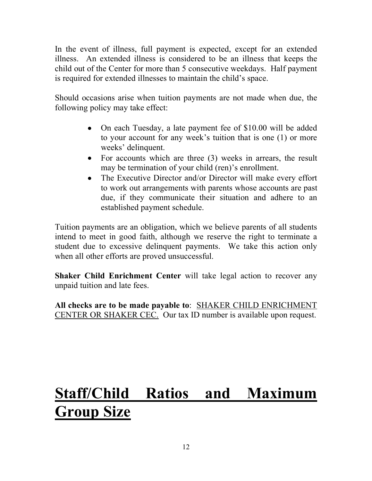In the event of illness, full payment is expected, except for an extended illness. An extended illness is considered to be an illness that keeps the child out of the Center for more than 5 consecutive weekdays. Half payment is required for extended illnesses to maintain the child's space.

Should occasions arise when tuition payments are not made when due, the following policy may take effect:

- On each Tuesday, a late payment fee of \$10.00 will be added to your account for any week's tuition that is one (1) or more weeks' delinquent.
- For accounts which are three (3) weeks in arrears, the result may be termination of your child (ren)'s enrollment.
- The Executive Director and/or Director will make every effort to work out arrangements with parents whose accounts are past due, if they communicate their situation and adhere to an established payment schedule.

Tuition payments are an obligation, which we believe parents of all students intend to meet in good faith, although we reserve the right to terminate a student due to excessive delinquent payments. We take this action only when all other efforts are proved unsuccessful.

**Shaker Child Enrichment Center** will take legal action to recover any unpaid tuition and late fees.

**All checks are to be made payable to**: SHAKER CHILD ENRICHMENT CENTER OR SHAKER CEC. Our tax ID number is available upon request.

# **Staff/Child Ratios and Maximum Group Size**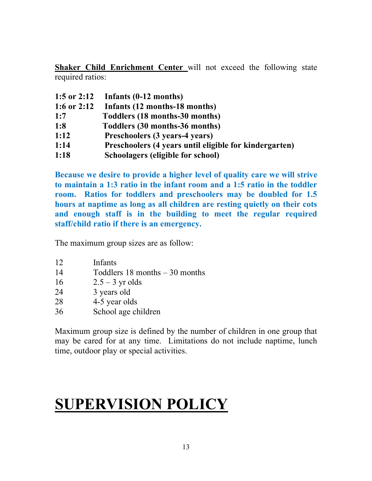**Shaker Child Enrichment Center** will not exceed the following state required ratios:

| 1:5 or 2:12 | Infants (0-12 months)                                  |
|-------------|--------------------------------------------------------|
| 1:6 or 2:12 | Infants (12 months-18 months)                          |
| 1:7         | Toddlers (18 months-30 months)                         |
| 1:8         | Toddlers (30 months-36 months)                         |
| 1:12        | Preschoolers (3 years-4 years)                         |
| 1:14        | Preschoolers (4 years until eligible for kindergarten) |
| 1:18        | Schoolagers (eligible for school)                      |

**Because we desire to provide a higher level of quality care we will strive to maintain a 1:3 ratio in the infant room and a 1:5 ratio in the toddler room. Ratios for toddlers and preschoolers may be doubled for 1.5 hours at naptime as long as all children are resting quietly on their cots and enough staff is in the building to meet the regular required staff/child ratio if there is an emergency.**

The maximum group sizes are as follow:

- 12 Infants
- 14 Toddlers 18 months 30 months
- 16  $2.5 3$  yr olds
- 24 3 years old
- 28 4-5 year olds
- 36 School age children

Maximum group size is defined by the number of children in one group that may be cared for at any time. Limitations do not include naptime, lunch time, outdoor play or special activities.

# **SUPERVISION POLICY**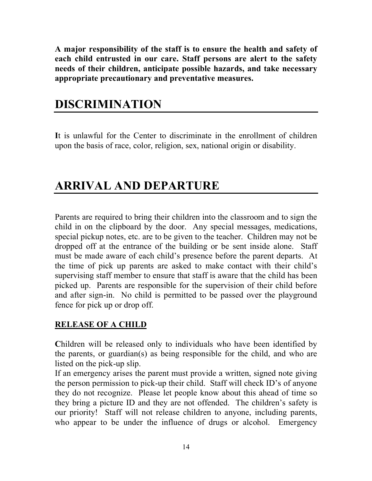**A major responsibility of the staff is to ensure the health and safety of each child entrusted in our care. Staff persons are alert to the safety needs of their children, anticipate possible hazards, and take necessary appropriate precautionary and preventative measures.**

### **DISCRIMINATION**

**I**t is unlawful for the Center to discriminate in the enrollment of children upon the basis of race, color, religion, sex, national origin or disability.

### **ARRIVAL AND DEPARTURE**

Parents are required to bring their children into the classroom and to sign the child in on the clipboard by the door. Any special messages, medications, special pickup notes, etc. are to be given to the teacher. Children may not be dropped off at the entrance of the building or be sent inside alone. Staff must be made aware of each child's presence before the parent departs. At the time of pick up parents are asked to make contact with their child's supervising staff member to ensure that staff is aware that the child has been picked up. Parents are responsible for the supervision of their child before and after sign-in. No child is permitted to be passed over the playground fence for pick up or drop off.

#### **RELEASE OF A CHILD**

**C**hildren will be released only to individuals who have been identified by the parents, or guardian(s) as being responsible for the child, and who are listed on the pick-up slip.

If an emergency arises the parent must provide a written, signed note giving the person permission to pick-up their child. Staff will check ID's of anyone they do not recognize. Please let people know about this ahead of time so they bring a picture ID and they are not offended. The children's safety is our priority! Staff will not release children to anyone, including parents, who appear to be under the influence of drugs or alcohol. Emergency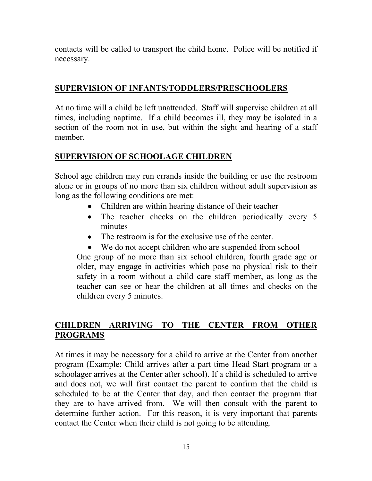contacts will be called to transport the child home. Police will be notified if necessary.

#### **SUPERVISION OF INFANTS/TODDLERS/PRESCHOOLERS**

At no time will a child be left unattended. Staff will supervise children at all times, including naptime. If a child becomes ill, they may be isolated in a section of the room not in use, but within the sight and hearing of a staff member.

#### **SUPERVISION OF SCHOOLAGE CHILDREN**

School age children may run errands inside the building or use the restroom alone or in groups of no more than six children without adult supervision as long as the following conditions are met:

- Children are within hearing distance of their teacher
- The teacher checks on the children periodically every 5 minutes
- The restroom is for the exclusive use of the center.
- We do not accept children who are suspended from school

One group of no more than six school children, fourth grade age or older, may engage in activities which pose no physical risk to their safety in a room without a child care staff member, as long as the teacher can see or hear the children at all times and checks on the children every 5 minutes.

#### **CHILDREN ARRIVING TO THE CENTER FROM OTHER PROGRAMS**

At times it may be necessary for a child to arrive at the Center from another program (Example: Child arrives after a part time Head Start program or a schoolager arrives at the Center after school). If a child is scheduled to arrive and does not, we will first contact the parent to confirm that the child is scheduled to be at the Center that day, and then contact the program that they are to have arrived from. We will then consult with the parent to determine further action. For this reason, it is very important that parents contact the Center when their child is not going to be attending.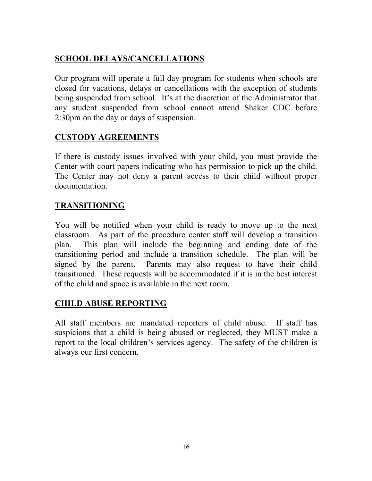#### **SCHOOL DELAYS/CANCELLATIONS**

Our program will operate a full day program for students when schools are closed for vacations, delays or cancellations with the exception of students being suspended from school. It's at the discretion of the Administrator that any student suspended from school cannot attend Shaker CDC before 2:30pm on the day or days of suspension.

#### **CUSTODY AGREEMENTS**

If there is custody issues involved with your child, you must provide the Center with court papers indicating who has permission to pick up the child. The Center may not deny a parent access to their child without proper documentation.

#### **TRANSITIONING**

You will be notified when your child is ready to move up to the next classroom. As part of the procedure center staff will develop a transition plan. This plan will include the beginning and ending date of the transitioning period and include a transition schedule. The plan will be signed by the parent. Parents may also request to have their child transitioned. These requests will be accommodated if it is in the best interest of the child and space is available in the next room.

#### **CHILD ABUSE REPORTING**

All staff members are mandated reporters of child abuse. If staff has suspicions that a child is being abused or neglected, they MUST make a report to the local children's services agency. The safety of the children is always our first concern.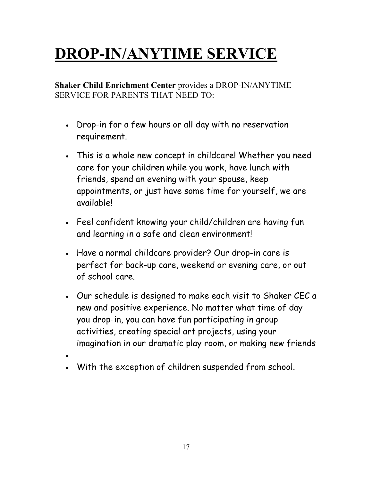# **DROP-IN/ANYTIME SERVICE**

**Shaker Child Enrichment Center** provides a DROP-IN/ANYTIME SERVICE FOR PARENTS THAT NEED TO:

- Drop-in for a few hours or all day with no reservation requirement.
- This is a whole new concept in childcare! Whether you need care for your children while you work, have lunch with friends, spend an evening with your spouse, keep appointments, or just have some time for yourself, we are available!
- Feel confident knowing your child/children are having fun and learning in a safe and clean environment!
- Have a normal childcare provider? Our drop-in care is perfect for back-up care, weekend or evening care, or out of school care.
- Our schedule is designed to make each visit to Shaker CEC a new and positive experience. No matter what time of day you drop-in, you can have fun participating in group activities, creating special art projects, using your imagination in our dramatic play room, or making new friends
- •
- With the exception of children suspended from school.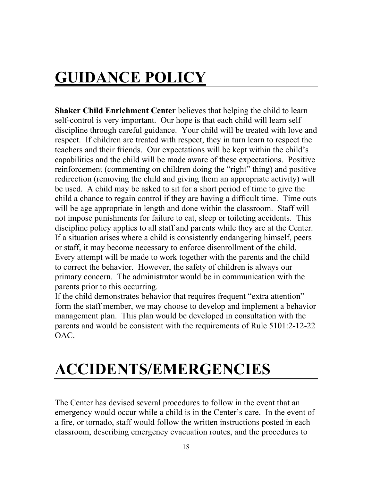# **GUIDANCE POLICY**

**Shaker Child Enrichment Center** believes that helping the child to learn self-control is very important. Our hope is that each child will learn self discipline through careful guidance. Your child will be treated with love and respect. If children are treated with respect, they in turn learn to respect the teachers and their friends. Our expectations will be kept within the child's capabilities and the child will be made aware of these expectations. Positive reinforcement (commenting on children doing the "right" thing) and positive redirection (removing the child and giving them an appropriate activity) will be used. A child may be asked to sit for a short period of time to give the child a chance to regain control if they are having a difficult time. Time outs will be age appropriate in length and done within the classroom. Staff will not impose punishments for failure to eat, sleep or toileting accidents. This discipline policy applies to all staff and parents while they are at the Center. If a situation arises where a child is consistently endangering himself, peers or staff, it may become necessary to enforce disenrollment of the child. Every attempt will be made to work together with the parents and the child to correct the behavior. However, the safety of children is always our primary concern. The administrator would be in communication with the parents prior to this occurring.

If the child demonstrates behavior that requires frequent "extra attention" form the staff member, we may choose to develop and implement a behavior management plan. This plan would be developed in consultation with the parents and would be consistent with the requirements of Rule 5101:2-12-22 OAC.

# **ACCIDENTS/EMERGENCIES**

The Center has devised several procedures to follow in the event that an emergency would occur while a child is in the Center's care. In the event of a fire, or tornado, staff would follow the written instructions posted in each classroom, describing emergency evacuation routes, and the procedures to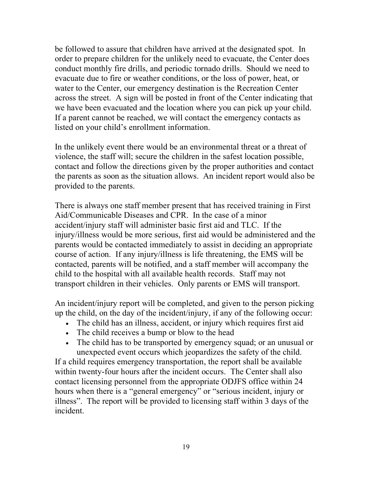be followed to assure that children have arrived at the designated spot. In order to prepare children for the unlikely need to evacuate, the Center does conduct monthly fire drills, and periodic tornado drills. Should we need to evacuate due to fire or weather conditions, or the loss of power, heat, or water to the Center, our emergency destination is the Recreation Center across the street. A sign will be posted in front of the Center indicating that we have been evacuated and the location where you can pick up your child. If a parent cannot be reached, we will contact the emergency contacts as listed on your child's enrollment information.

In the unlikely event there would be an environmental threat or a threat of violence, the staff will; secure the children in the safest location possible, contact and follow the directions given by the proper authorities and contact the parents as soon as the situation allows. An incident report would also be provided to the parents.

There is always one staff member present that has received training in First Aid/Communicable Diseases and CPR. In the case of a minor accident/injury staff will administer basic first aid and TLC. If the injury/illness would be more serious, first aid would be administered and the parents would be contacted immediately to assist in deciding an appropriate course of action. If any injury/illness is life threatening, the EMS will be contacted, parents will be notified, and a staff member will accompany the child to the hospital with all available health records. Staff may not transport children in their vehicles. Only parents or EMS will transport.

An incident/injury report will be completed, and given to the person picking up the child, on the day of the incident/injury, if any of the following occur:

- The child has an illness, accident, or injury which requires first aid
- The child receives a bump or blow to the head
- The child has to be transported by emergency squad; or an unusual or unexpected event occurs which jeopardizes the safety of the child.

If a child requires emergency transportation, the report shall be available within twenty-four hours after the incident occurs. The Center shall also contact licensing personnel from the appropriate ODJFS office within 24 hours when there is a "general emergency" or "serious incident, injury or illness". The report will be provided to licensing staff within 3 days of the incident.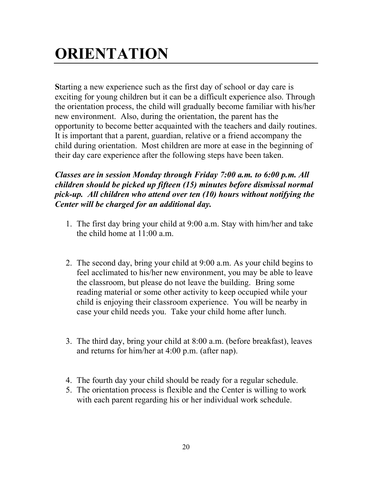# **ORIENTATION**

**S**tarting a new experience such as the first day of school or day care is exciting for young children but it can be a difficult experience also. Through the orientation process, the child will gradually become familiar with his/her new environment. Also, during the orientation, the parent has the opportunity to become better acquainted with the teachers and daily routines. It is important that a parent, guardian, relative or a friend accompany the child during orientation. Most children are more at ease in the beginning of their day care experience after the following steps have been taken.

#### *Classes are in session Monday through Friday 7:00 a.m. to 6:00 p.m. All children should be picked up fifteen (15) minutes before dismissal normal pick-up. All children who attend over ten (10) hours without notifying the Center will be charged for an additional day.*

- 1. The first day bring your child at 9:00 a.m. Stay with him/her and take the child home at 11:00 a.m.
- 2. The second day, bring your child at 9:00 a.m. As your child begins to feel acclimated to his/her new environment, you may be able to leave the classroom, but please do not leave the building. Bring some reading material or some other activity to keep occupied while your child is enjoying their classroom experience. You will be nearby in case your child needs you. Take your child home after lunch.
- 3. The third day, bring your child at 8:00 a.m. (before breakfast), leaves and returns for him/her at 4:00 p.m. (after nap).
- 4. The fourth day your child should be ready for a regular schedule.
- 5. The orientation process is flexible and the Center is willing to work with each parent regarding his or her individual work schedule.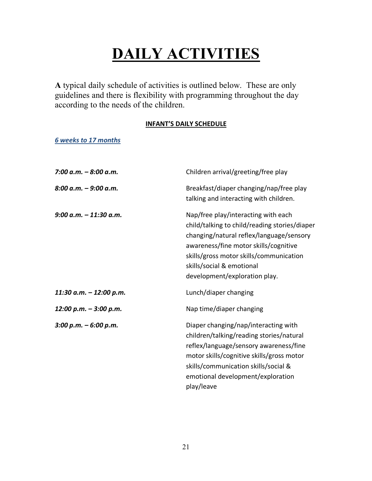# **DAILY ACTIVITIES**

**A** typical daily schedule of activities is outlined below. These are only guidelines and there is flexibility with programming throughout the day according to the needs of the children.

#### **INFANT'S DAILY SCHEDULE**

*6 weeks to 17 months*

| 7:00 a.m. $-8:00$ a.m.   | Children arrival/greeting/free play                                                                                                                                                                                                                                                |
|--------------------------|------------------------------------------------------------------------------------------------------------------------------------------------------------------------------------------------------------------------------------------------------------------------------------|
| $8:00$ a.m. $-9:00$ a.m. | Breakfast/diaper changing/nap/free play<br>talking and interacting with children.                                                                                                                                                                                                  |
| $9:00 a.m. - 11:30 a.m.$ | Nap/free play/interacting with each<br>child/talking to child/reading stories/diaper<br>changing/natural reflex/language/sensory<br>awareness/fine motor skills/cognitive<br>skills/gross motor skills/communication<br>skills/social & emotional<br>development/exploration play. |
| 11:30 a.m. - 12:00 p.m.  | Lunch/diaper changing                                                                                                                                                                                                                                                              |
| 12:00 p.m. - 3:00 p.m.   | Nap time/diaper changing                                                                                                                                                                                                                                                           |
| $3:00 p.m. - 6:00 p.m.$  | Diaper changing/nap/interacting with<br>children/talking/reading stories/natural<br>reflex/language/sensory awareness/fine<br>motor skills/cognitive skills/gross motor<br>skills/communication skills/social &<br>emotional development/exploration<br>play/leave                 |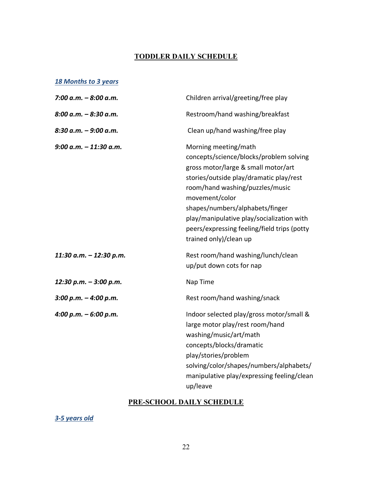#### **TODDLER DAILY SCHEDULE**

#### *18 Months to 3 years*

| 7:00 a.m. - 8:00 a.m.   | Children arrival/greeting/free play                                                                                                                                                                                                                                                                                                                             |
|-------------------------|-----------------------------------------------------------------------------------------------------------------------------------------------------------------------------------------------------------------------------------------------------------------------------------------------------------------------------------------------------------------|
| 8:00 a.m. – 8:30 a.m.   | Restroom/hand washing/breakfast                                                                                                                                                                                                                                                                                                                                 |
| 8:30 a.m. – 9:00 a.m.   | Clean up/hand washing/free play                                                                                                                                                                                                                                                                                                                                 |
| 9:00 a.m. – 11:30 a.m.  | Morning meeting/math<br>concepts/science/blocks/problem solving<br>gross motor/large & small motor/art<br>stories/outside play/dramatic play/rest<br>room/hand washing/puzzles/music<br>movement/color<br>shapes/numbers/alphabets/finger<br>play/manipulative play/socialization with<br>peers/expressing feeling/field trips (potty<br>trained only)/clean up |
| 11:30 a.m. - 12:30 p.m. | Rest room/hand washing/lunch/clean<br>up/put down cots for nap                                                                                                                                                                                                                                                                                                  |
| 12:30 p.m. - 3:00 p.m.  | Nap Time                                                                                                                                                                                                                                                                                                                                                        |
| 3:00 p.m. - 4:00 p.m.   | Rest room/hand washing/snack                                                                                                                                                                                                                                                                                                                                    |
| 4:00 p.m. – 6:00 p.m.   | Indoor selected play/gross motor/small &<br>large motor play/rest room/hand<br>washing/music/art/math<br>concepts/blocks/dramatic<br>play/stories/problem<br>solving/color/shapes/numbers/alphabets/<br>manipulative play/expressing feeling/clean<br>up/leave                                                                                                  |

#### **PRE-SCHOOL DAILY SCHEDULE**

*3-5 years old*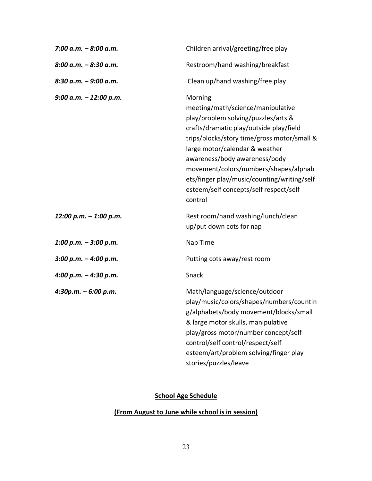| $7:00 a.m. - 8:00 a.m.$   | Children arrival/greeting/free play                                                                                                                                                                                                                                                                                                                                                           |
|---------------------------|-----------------------------------------------------------------------------------------------------------------------------------------------------------------------------------------------------------------------------------------------------------------------------------------------------------------------------------------------------------------------------------------------|
| 8:00 a.m. - 8:30 a.m.     | Restroom/hand washing/breakfast                                                                                                                                                                                                                                                                                                                                                               |
| $8:30$ a.m. $-9:00$ a.m.  | Clean up/hand washing/free play                                                                                                                                                                                                                                                                                                                                                               |
| $9:00$ a.m. $-12:00$ p.m. | Morning<br>meeting/math/science/manipulative<br>play/problem solving/puzzles/arts &<br>crafts/dramatic play/outside play/field<br>trips/blocks/story time/gross motor/small &<br>large motor/calendar & weather<br>awareness/body awareness/body<br>movement/colors/numbers/shapes/alphab<br>ets/finger play/music/counting/writing/self<br>esteem/self concepts/self respect/self<br>control |
| 12:00 p.m. - 1:00 p.m.    | Rest room/hand washing/lunch/clean<br>up/put down cots for nap                                                                                                                                                                                                                                                                                                                                |
| 1:00 p.m. $-$ 3:00 p.m.   | Nap Time                                                                                                                                                                                                                                                                                                                                                                                      |
| $3:00 p.m. - 4:00 p.m.$   | Putting cots away/rest room                                                                                                                                                                                                                                                                                                                                                                   |
| 4:00 p.m. $-$ 4:30 p.m.   | Snack                                                                                                                                                                                                                                                                                                                                                                                         |
| $4:30p.m. - 6:00 p.m.$    | Math/language/science/outdoor<br>play/music/colors/shapes/numbers/countin<br>g/alphabets/body movement/blocks/small<br>& large motor skulls, manipulative<br>play/gross motor/number concept/self<br>control/self control/respect/self<br>esteem/art/problem solving/finger play<br>stories/puzzles/leave                                                                                     |

#### **School Age Schedule**

#### **(From August to June while school is in session)**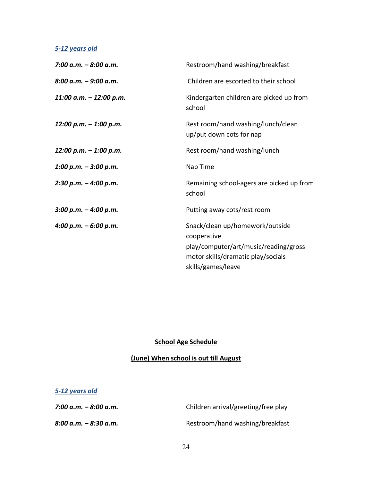#### *5-12 years old*

| 7:00 a.m. – 8:00 a.m.   | Restroom/hand washing/breakfast                                                                                               |
|-------------------------|-------------------------------------------------------------------------------------------------------------------------------|
| 8:00 a.m. – 9:00 a.m.   | Children are escorted to their school                                                                                         |
| 11:00 a.m. - 12:00 p.m. | Kindergarten children are picked up from<br>school                                                                            |
| 12:00 p.m. - 1:00 p.m.  | Rest room/hand washing/lunch/clean<br>up/put down cots for nap                                                                |
| 12:00 p.m. – 1:00 p.m.  | Rest room/hand washing/lunch                                                                                                  |
| 1:00 p.m. – 3:00 p.m.   | Nap Time                                                                                                                      |
| 2:30 p.m. – 4:00 p.m.   | Remaining school-agers are picked up from<br>school                                                                           |
| 3:00 p.m. – 4:00 p.m.   | Putting away cots/rest room                                                                                                   |
| 4:00 p.m. – 6:00 p.m.   | Snack/clean up/homework/outside<br>cooperative<br>play/computer/art/music/reading/gross<br>motor skills/dramatic play/socials |
|                         | skills/games/leave                                                                                                            |

#### **School Age Schedule**

#### **(June) When school is out till August**

| 5-12 years old          |                                     |
|-------------------------|-------------------------------------|
| 7:00 a.m. – 8:00 a.m.   | Children arrival/greeting/free play |
| $8:00 a.m. - 8:30 a.m.$ | Restroom/hand washing/breakfast     |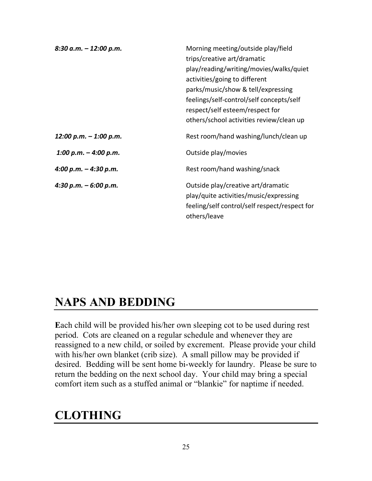| $8:30$ a.m. $-12:00$ p.m. | Morning meeting/outside play/field<br>trips/creative art/dramatic<br>play/reading/writing/movies/walks/quiet<br>activities/going to different<br>parks/music/show & tell/expressing<br>feelings/self-control/self concepts/self<br>respect/self esteem/respect for<br>others/school activities review/clean up |
|---------------------------|----------------------------------------------------------------------------------------------------------------------------------------------------------------------------------------------------------------------------------------------------------------------------------------------------------------|
| $12:00$ p.m. $-1:00$ p.m. | Rest room/hand washing/lunch/clean up                                                                                                                                                                                                                                                                          |
| 1:00 p.m. $-$ 4:00 p.m.   | Outside play/movies                                                                                                                                                                                                                                                                                            |
| 4:00 p.m. $-$ 4:30 p.m.   | Rest room/hand washing/snack                                                                                                                                                                                                                                                                                   |
| 4:30 p.m. $-6:00$ p.m.    | Outside play/creative art/dramatic<br>play/quite activities/music/expressing<br>feeling/self control/self respect/respect for<br>others/leave                                                                                                                                                                  |

### **NAPS AND BEDDING**

**E**ach child will be provided his/her own sleeping cot to be used during rest period. Cots are cleaned on a regular schedule and whenever they are reassigned to a new child, or soiled by excrement. Please provide your child with his/her own blanket (crib size). A small pillow may be provided if desired. Bedding will be sent home bi-weekly for laundry. Please be sure to return the bedding on the next school day. Your child may bring a special comfort item such as a stuffed animal or "blankie" for naptime if needed.

### **CLOTHING**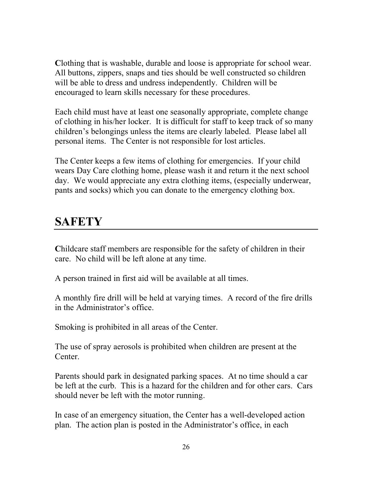**C**lothing that is washable, durable and loose is appropriate for school wear. All buttons, zippers, snaps and ties should be well constructed so children will be able to dress and undress independently. Children will be encouraged to learn skills necessary for these procedures.

Each child must have at least one seasonally appropriate, complete change of clothing in his/her locker. It is difficult for staff to keep track of so many children's belongings unless the items are clearly labeled. Please label all personal items. The Center is not responsible for lost articles.

The Center keeps a few items of clothing for emergencies. If your child wears Day Care clothing home, please wash it and return it the next school day. We would appreciate any extra clothing items, (especially underwear, pants and socks) which you can donate to the emergency clothing box.

### **SAFETY**

**C**hildcare staff members are responsible for the safety of children in their care. No child will be left alone at any time.

A person trained in first aid will be available at all times.

A monthly fire drill will be held at varying times. A record of the fire drills in the Administrator's office.

Smoking is prohibited in all areas of the Center.

The use of spray aerosols is prohibited when children are present at the Center.

Parents should park in designated parking spaces. At no time should a car be left at the curb. This is a hazard for the children and for other cars. Cars should never be left with the motor running.

In case of an emergency situation, the Center has a well-developed action plan. The action plan is posted in the Administrator's office, in each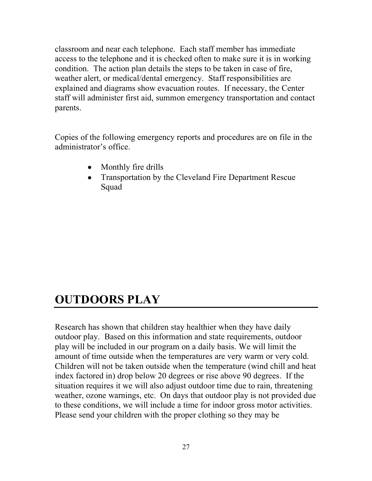classroom and near each telephone. Each staff member has immediate access to the telephone and it is checked often to make sure it is in working condition. The action plan details the steps to be taken in case of fire, weather alert, or medical/dental emergency. Staff responsibilities are explained and diagrams show evacuation routes. If necessary, the Center staff will administer first aid, summon emergency transportation and contact parents.

Copies of the following emergency reports and procedures are on file in the administrator's office.

- Monthly fire drills
- Transportation by the Cleveland Fire Department Rescue Squad

### **OUTDOORS PLAY**

Research has shown that children stay healthier when they have daily outdoor play. Based on this information and state requirements, outdoor play will be included in our program on a daily basis. We will limit the amount of time outside when the temperatures are very warm or very cold. Children will not be taken outside when the temperature (wind chill and heat index factored in) drop below 20 degrees or rise above 90 degrees. If the situation requires it we will also adjust outdoor time due to rain, threatening weather, ozone warnings, etc. On days that outdoor play is not provided due to these conditions, we will include a time for indoor gross motor activities. Please send your children with the proper clothing so they may be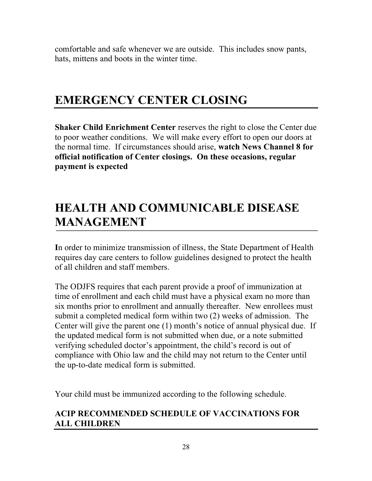comfortable and safe whenever we are outside. This includes snow pants, hats, mittens and boots in the winter time.

### **EMERGENCY CENTER CLOSING**

**Shaker Child Enrichment Center** reserves the right to close the Center due to poor weather conditions. We will make every effort to open our doors at the normal time. If circumstances should arise, **watch News Channel 8 for official notification of Center closings. On these occasions, regular payment is expected**

### **HEALTH AND COMMUNICABLE DISEASE MANAGEMENT**

**I**n order to minimize transmission of illness, the State Department of Health requires day care centers to follow guidelines designed to protect the health of all children and staff members.

The ODJFS requires that each parent provide a proof of immunization at time of enrollment and each child must have a physical exam no more than six months prior to enrollment and annually thereafter. New enrollees must submit a completed medical form within two (2) weeks of admission. The Center will give the parent one (1) month's notice of annual physical due. If the updated medical form is not submitted when due, or a note submitted verifying scheduled doctor's appointment, the child's record is out of compliance with Ohio law and the child may not return to the Center until the up-to-date medical form is submitted.

Your child must be immunized according to the following schedule.

#### **ACIP RECOMMENDED SCHEDULE OF VACCINATIONS FOR ALL CHILDREN**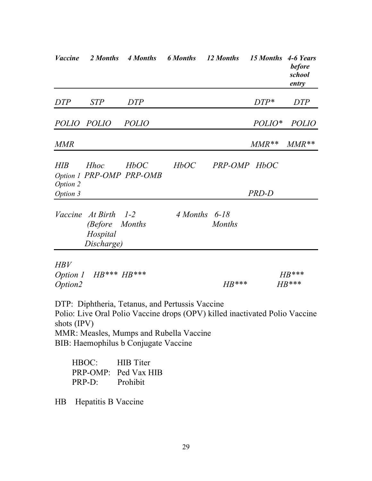| <b>Vaccine</b>                    | 2 Months                                              | 4 Months                                                                                                                           | <b>6 Months</b> | 12 Months                                                                   | 15 Months 4-6 Years | <b>before</b><br>school<br>entry |
|-----------------------------------|-------------------------------------------------------|------------------------------------------------------------------------------------------------------------------------------------|-----------------|-----------------------------------------------------------------------------|---------------------|----------------------------------|
| <b>DTP</b>                        | <b>STP</b>                                            | <b>DTP</b>                                                                                                                         |                 |                                                                             | $DTP*$              | <b>DTP</b>                       |
| POLIO POLIO                       |                                                       | <b>POLIO</b>                                                                                                                       |                 |                                                                             | POLIO*              | <b>POLIO</b>                     |
| <b>MMR</b>                        |                                                       |                                                                                                                                    |                 |                                                                             | $MMR**$             | $MMR**$                          |
| HIB                               | <b>Hhoc</b>                                           | HbOC<br>Option 1 PRP-OMP PRP-OMB                                                                                                   | HbOC            | PRP-OMP HbOC                                                                |                     |                                  |
| Option 2<br>Option 3              |                                                       |                                                                                                                                    |                 |                                                                             | PRD-D               |                                  |
| Vaccine                           | At Birth<br><i>(Before)</i><br>Hospital<br>Discharge) | $1-2$<br><b>Months</b>                                                                                                             | 4 Months        | 6-18<br><b>Months</b>                                                       |                     |                                  |
| <b>HBV</b><br>Option 1<br>Option2 | $HB***HB***$                                          |                                                                                                                                    |                 | $HB***$                                                                     |                     | $HB***$<br>$HB***$               |
| shots (IPV)                       |                                                       | DTP: Diphtheria, Tetanus, and Pertussis Vaccine<br>MMR: Measles, Mumps and Rubella Vaccine<br>BIB: Haemophilus b Conjugate Vaccine |                 | Polio: Live Oral Polio Vaccine drops (OPV) killed inactivated Polio Vaccine |                     |                                  |

| HBOC:    | <b>HIB</b> Titer     |
|----------|----------------------|
|          | PRP-OMP: Ped Vax HIB |
| $PRP-D:$ | Prohibit             |

HB Hepatitis B Vaccine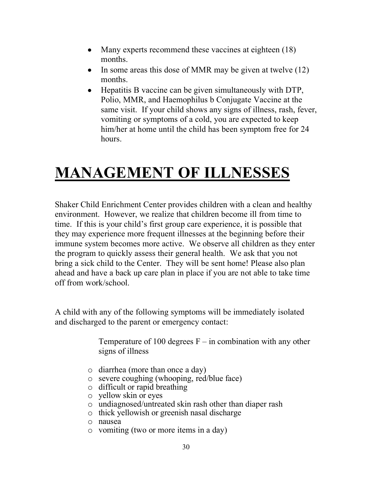- Many experts recommend these vaccines at eighteen (18) months.
- In some areas this dose of MMR may be given at twelve (12) months.
- Hepatitis B vaccine can be given simultaneously with DTP, Polio, MMR, and Haemophilus b Conjugate Vaccine at the same visit. If your child shows any signs of illness, rash, fever, vomiting or symptoms of a cold, you are expected to keep him/her at home until the child has been symptom free for 24 hours.

# **MANAGEMENT OF ILLNESSES**

Shaker Child Enrichment Center provides children with a clean and healthy environment. However, we realize that children become ill from time to time. If this is your child's first group care experience, it is possible that they may experience more frequent illnesses at the beginning before their immune system becomes more active. We observe all children as they enter the program to quickly assess their general health. We ask that you not bring a sick child to the Center. They will be sent home! Please also plan ahead and have a back up care plan in place if you are not able to take time off from work/school.

A child with any of the following symptoms will be immediately isolated and discharged to the parent or emergency contact:

> Temperature of 100 degrees  $F - in$  combination with any other signs of illness

- o diarrhea (more than once a day)
- o severe coughing (whooping, red/blue face)
- o difficult or rapid breathing
- o yellow skin or eyes
- o undiagnosed/untreated skin rash other than diaper rash
- o thick yellowish or greenish nasal discharge
- o nausea
- o vomiting (two or more items in a day)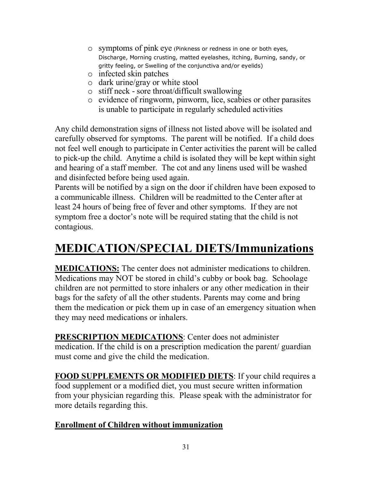- o symptoms of pink eye (Pinkness or redness in one or both eyes, Discharge, Morning crusting, matted eyelashes, itching, Burning, sandy, or gritty feeling, or Swelling of the conjunctiva and/or eyelids)
- o infected skin patches
- o dark urine/gray or white stool
- o stiff neck sore throat/difficult swallowing
- o evidence of ringworm, pinworm, lice, scabies or other parasites is unable to participate in regularly scheduled activities

Any child demonstration signs of illness not listed above will be isolated and carefully observed for symptoms. The parent will be notified. If a child does not feel well enough to participate in Center activities the parent will be called to pick-up the child. Anytime a child is isolated they will be kept within sight and hearing of a staff member. The cot and any linens used will be washed and disinfected before being used again.

Parents will be notified by a sign on the door if children have been exposed to a communicable illness. Children will be readmitted to the Center after at least 24 hours of being free of fever and other symptoms. If they are not symptom free a doctor's note will be required stating that the child is not contagious.

### **MEDICATION/SPECIAL DIETS/Immunizations**

**MEDICATIONS:** The center does not administer medications to children. Medications may NOT be stored in child's cubby or book bag. Schoolage children are not permitted to store inhalers or any other medication in their bags for the safety of all the other students. Parents may come and bring them the medication or pick them up in case of an emergency situation when they may need medications or inhalers.

**PRESCRIPTION MEDICATIONS**: Center does not administer medication. If the child is on a prescription medication the parent/ guardian must come and give the child the medication.

**FOOD SUPPLEMENTS OR MODIFIED DIETS**: If your child requires a food supplement or a modified diet, you must secure written information from your physician regarding this. Please speak with the administrator for more details regarding this.

#### **Enrollment of Children without immunization**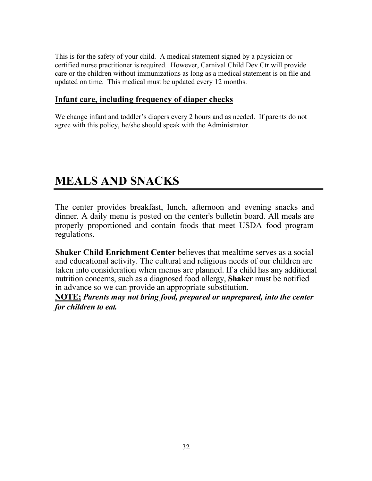This is for the safety of your child. A medical statement signed by a physician or certified nurse practitioner is required. However, Carnival Child Dev Ctr will provide care or the children without immunizations as long as a medical statement is on file and updated on time. This medical must be updated every 12 months.

#### **Infant care, including frequency of diaper checks**

We change infant and toddler's diapers every 2 hours and as needed. If parents do not agree with this policy, he/she should speak with the Administrator.

### **MEALS AND SNACKS**

The center provides breakfast, lunch, afternoon and evening snacks and dinner. A daily menu is posted on the center's bulletin board. All meals are properly proportioned and contain foods that meet USDA food program regulations.

**Shaker Child Enrichment Center** believes that mealtime serves as a social and educational activity. The cultural and religious needs of our children are taken into consideration when menus are planned. If a child has any additional nutrition concerns, such as a diagnosed food allergy, **Shaker** must be notified in advance so we can provide an appropriate substitution.

**NOTE;** *Parents may not bring food, prepared or unprepared, into the center for children to eat.*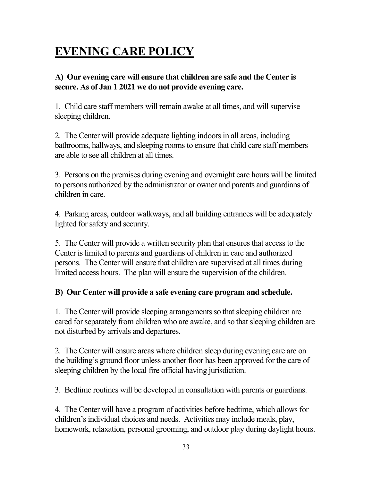### **EVENING CARE POLICY**

#### **A) Our evening care will ensure that children are safe and the Center is secure. As of Jan 1 2021 we do not provide evening care.**

1. Child care staff members will remain awake at all times, and will supervise sleeping children.

2. The Center will provide adequate lighting indoors in all areas, including bathrooms, hallways, and sleeping rooms to ensure that child care staff members are able to see all children at all times.

3. Persons on the premises during evening and overnight care hours will be limited to persons authorized by the administrator or owner and parents and guardians of children in care.

4. Parking areas, outdoor walkways, and all building entrances will be adequately lighted for safety and security.

5. The Center will provide a written security plan that ensures that access to the Center is limited to parents and guardians of children in care and authorized persons. The Center will ensure that children are supervised at all times during limited access hours. The plan will ensure the supervision of the children.

#### **B) Our Center will provide a safe evening care program and schedule.**

1. The Center will provide sleeping arrangements so that sleeping children are cared for separately from children who are awake, and so that sleeping children are not disturbed by arrivals and departures.

2. The Center will ensure areas where children sleep during evening care are on the building's ground floor unless another floor has been approved for the care of sleeping children by the local fire official having jurisdiction.

3. Bedtime routines will be developed in consultation with parents or guardians.

4. The Center will have a program of activities before bedtime, which allows for children's individual choices and needs. Activities may include meals, play, homework, relaxation, personal grooming, and outdoor play during daylight hours.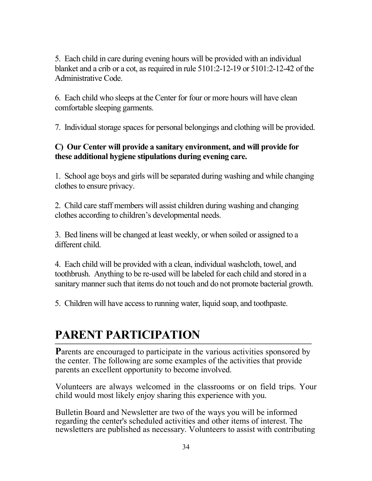5. Each child in care during evening hours will be provided with an individual blanket and a crib or a cot, as required in rule 5101:2-12-19 or 5101:2-12-42 of the Administrative Code.

6. Each child who sleeps at the Center for four or more hours will have clean comfortable sleeping garments.

7. Individual storage spaces for personal belongings and clothing will be provided.

#### **C) Our Center will provide a sanitary environment, and will provide for these additional hygiene stipulations during evening care.**

1. School age boys and girls will be separated during washing and while changing clothes to ensure privacy.

2. Child care staff members will assist children during washing and changing clothes according to children's developmental needs.

3. Bed linens will be changed at least weekly, or when soiled or assigned to a different child.

4. Each child will be provided with a clean, individual washcloth, towel, and toothbrush. Anything to be re-used will be labeled for each child and stored in a sanitary manner such that items do not touch and do not promote bacterial growth.

5. Children will have access to running water, liquid soap, and toothpaste.

### **PARENT PARTICIPATION**

**P**arents are encouraged to participate in the various activities sponsored by the center. The following are some examples of the activities that provide parents an excellent opportunity to become involved.

Volunteers are always welcomed in the classrooms or on field trips. Your child would most likely enjoy sharing this experience with you.

Bulletin Board and Newsletter are two of the ways you will be informed regarding the center's scheduled activities and other items of interest. The newsletters are published as necessary. Volunteers to assist with contributing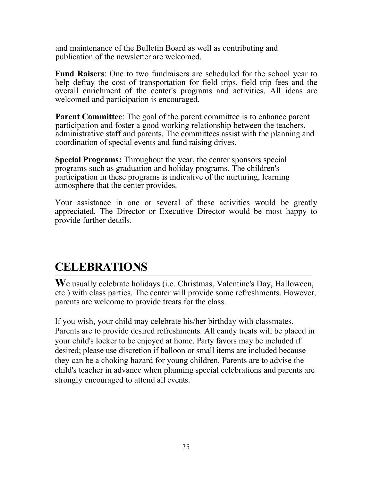and maintenance of the Bulletin Board as well as contributing and publication of the newsletter are welcomed.

**Fund Raisers**: One to two fundraisers are scheduled for the school year to help defray the cost of transportation for field trips, field trip fees and the overall enrichment of the center's programs and activities. All ideas are welcomed and participation is encouraged.

**Parent Committee**: The goal of the parent committee is to enhance parent participation and foster a good working relationship between the teachers, administrative staff and parents. The committees assist with the planning and coordination of special events and fund raising drives.

**Special Programs:** Throughout the year, the center sponsors special programs such as graduation and holiday programs. The children's participation in these programs is indicative of the nurturing, learning atmosphere that the center provides.

Your assistance in one or several of these activities would be greatly appreciated. The Director or Executive Director would be most happy to provide further details.

### **CELEBRATIONS**

**W**e usually celebrate holidays (i.e. Christmas, Valentine's Day, Halloween, etc.) with class parties. The center will provide some refreshments. However, parents are welcome to provide treats for the class.

If you wish, your child may celebrate his/her birthday with classmates. Parents are to provide desired refreshments. All candy treats will be placed in your child's locker to be enjoyed at home. Party favors may be included if desired; please use discretion if balloon or small items are included because they can be a choking hazard for young children. Parents are to advise the child's teacher in advance when planning special celebrations and parents are strongly encouraged to attend all events.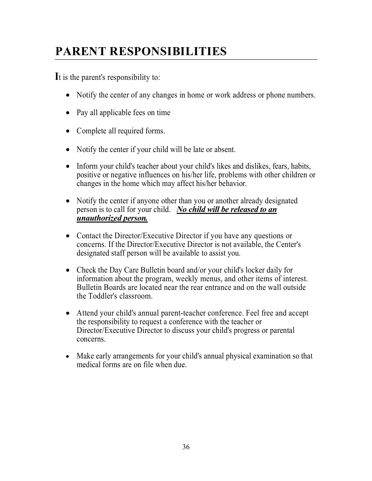### **PARENT RESPONSIBILITIES**

**I**t is the parent's responsibility to:

- Notify the center of any changes in home or work address or phone numbers.
- Pay all applicable fees on time
- Complete all required forms.
- Notify the center if your child will be late or absent.
- Inform your child's teacher about your child's likes and dislikes, fears, habits, positive or negative influences on his/her life, problems with other children or changes in the home which may affect his/her behavior.
- Notify the center if anyone other than you or another already designated person is to call for your child. *No child will be released to an unauthorized person.*
- Contact the Director/Executive Director if you have any questions or concerns. If the Director/Executive Director is not available, the Center's designated staff person will be available to assist you.
- Check the Day Care Bulletin board and/or your child's locker daily for information about the program, weekly menus, and other items of interest. Bulletin Boards are located near the rear entrance and on the wall outside the Toddler's classroom.
- Attend your child's annual parent-teacher conference. Feel free and accept the responsibility to request a conference with the teacher or Director/Executive Director to discuss your child's progress or parental concerns.
- Make early arrangements for your child's annual physical examination so that medical forms are on file when due.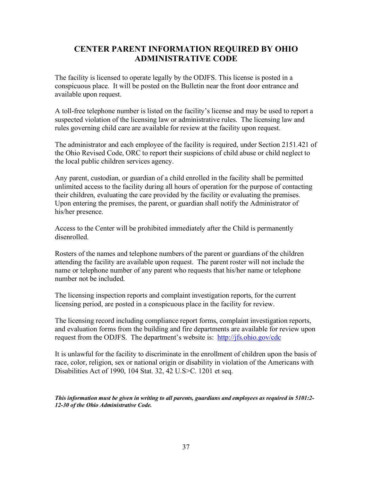#### **CENTER PARENT INFORMATION REQUIRED BY OHIO ADMINISTRATIVE CODE**

The facility is licensed to operate legally by the ODJFS. This license is posted in a conspicuous place. It will be posted on the Bulletin near the front door entrance and available upon request.

A toll-free telephone number is listed on the facility's license and may be used to report a suspected violation of the licensing law or administrative rules. The licensing law and rules governing child care are available for review at the facility upon request.

The administrator and each employee of the facility is required, under Section 2151.421 of the Ohio Revised Code, ORC to report their suspicions of child abuse or child neglect to the local public children services agency.

Any parent, custodian, or guardian of a child enrolled in the facility shall be permitted unlimited access to the facility during all hours of operation for the purpose of contacting their children, evaluating the care provided by the facility or evaluating the premises. Upon entering the premises, the parent, or guardian shall notify the Administrator of his/her presence.

Access to the Center will be prohibited immediately after the Child is permanently disenrolled.

Rosters of the names and telephone numbers of the parent or guardians of the children attending the facility are available upon request. The parent roster will not include the name or telephone number of any parent who requests that his/her name or telephone number not be included.

The licensing inspection reports and complaint investigation reports, for the current licensing period, are posted in a conspicuous place in the facility for review.

The licensing record including compliance report forms, complaint investigation reports, and evaluation forms from the building and fire departments are available for review upon request from the ODJFS. The department's website is: http://jfs.ohio.gov/cdc

It is unlawful for the facility to discriminate in the enrollment of children upon the basis of race, color, religion, sex or national origin or disability in violation of the Americans with Disabilities Act of 1990, 104 Stat. 32, 42 U.S>C. 1201 et seq.

*This information must be given in writing to all parents, guardians and employees as required in 5101:2- 12-30 of the Ohio Administrative Code.*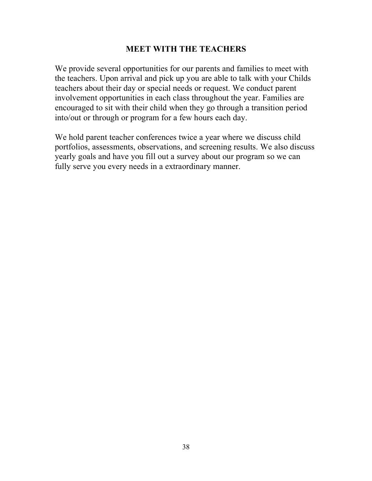#### **MEET WITH THE TEACHERS**

We provide several opportunities for our parents and families to meet with the teachers. Upon arrival and pick up you are able to talk with your Childs teachers about their day or special needs or request. We conduct parent involvement opportunities in each class throughout the year. Families are encouraged to sit with their child when they go through a transition period into/out or through or program for a few hours each day.

We hold parent teacher conferences twice a year where we discuss child portfolios, assessments, observations, and screening results. We also discuss yearly goals and have you fill out a survey about our program so we can fully serve you every needs in a extraordinary manner.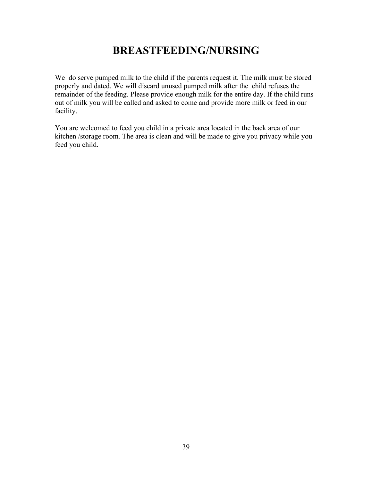### **BREASTFEEDING/NURSING**

We do serve pumped milk to the child if the parents request it. The milk must be stored properly and dated. We will discard unused pumped milk after the child refuses the remainder of the feeding. Please provide enough milk for the entire day. If the child runs out of milk you will be called and asked to come and provide more milk or feed in our facility.

You are welcomed to feed you child in a private area located in the back area of our kitchen /storage room. The area is clean and will be made to give you privacy while you feed you child.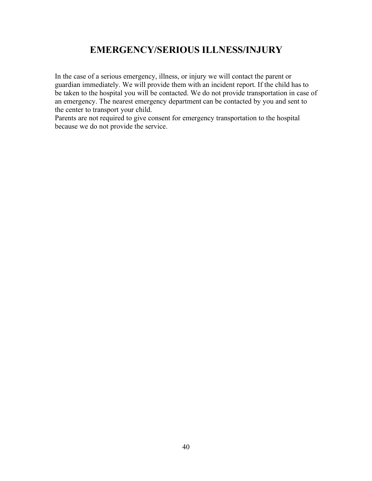#### **EMERGENCY/SERIOUS ILLNESS/INJURY**

In the case of a serious emergency, illness, or injury we will contact the parent or guardian immediately. We will provide them with an incident report. If the child has to be taken to the hospital you will be contacted. We do not provide transportation in case of an emergency. The nearest emergency department can be contacted by you and sent to the center to transport your child.

Parents are not required to give consent for emergency transportation to the hospital because we do not provide the service.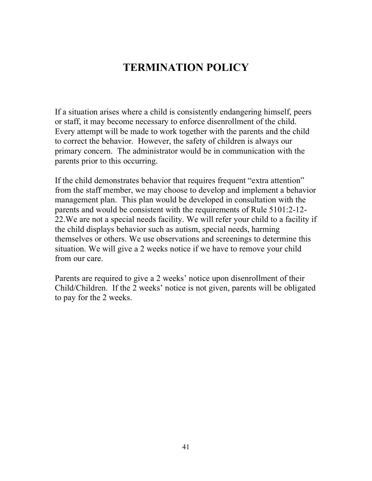### **TERMINATION POLICY**

If a situation arises where a child is consistently endangering himself, peers or staff, it may become necessary to enforce disenrollment of the child. Every attempt will be made to work together with the parents and the child to correct the behavior. However, the safety of children is always our primary concern. The administrator would be in communication with the parents prior to this occurring.

If the child demonstrates behavior that requires frequent "extra attention" from the staff member, we may choose to develop and implement a behavior management plan. This plan would be developed in consultation with the parents and would be consistent with the requirements of Rule 5101:2-12- 22.We are not a special needs facility. We will refer your child to a facility if the child displays behavior such as autism, special needs, harming themselves or others. We use observations and screenings to determine this situation. We will give a 2 weeks notice if we have to remove your child from our care.

Parents are required to give a 2 weeks' notice upon disenrollment of their Child/Children. If the 2 weeks' notice is not given, parents will be obligated to pay for the 2 weeks.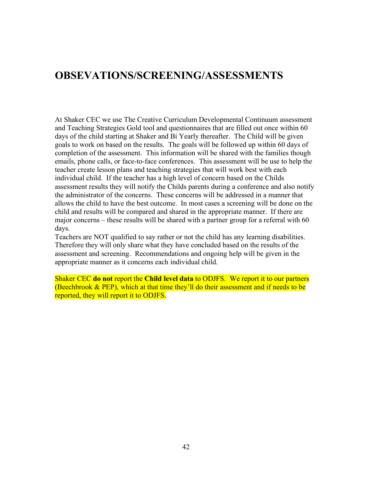#### **OBSEVATIONS/SCREENING/ASSESSMENTS**

At Shaker CEC we use The Creative Curriculum Developmental Continuum assessment and Teaching Strategies Gold tool and questionnaires that are filled out once within 60 days of the child starting at Shaker and Bi Yearly thereafter. The Child will be given goals to work on based on the results. The goals will be followed up within 60 days of completion of the assessment. This information will be shared with the families though emails, phone calls, or face-to-face conferences. This assessment will be use to help the teacher create lesson plans and teaching strategies that will work best with each individual child. If the teacher has a high level of concern based on the Childs assessment results they will notify the Childs parents during a conference and also notify the administrator of the concerns. These concerns will be addressed in a manner that allows the child to have the best outcome. In most cases a screening will be done on the child and results will be compared and shared in the appropriate manner. If there are major concerns – these results will be shared with a partner group for a referral with 60 days.

Teachers are NOT qualified to say rather or not the child has any learning disabilities. Therefore they will only share what they have concluded based on the results of the assessment and screening. Recommendations and ongoing help will be given in the appropriate manner as it concerns each individual child.

Shaker CEC **do not** report the **Child level data** to ODJFS. We report it to our partners (Beechbrook & PEP), which at that time they'll do their assessment and if needs to be reported, they will report it to ODJFS.